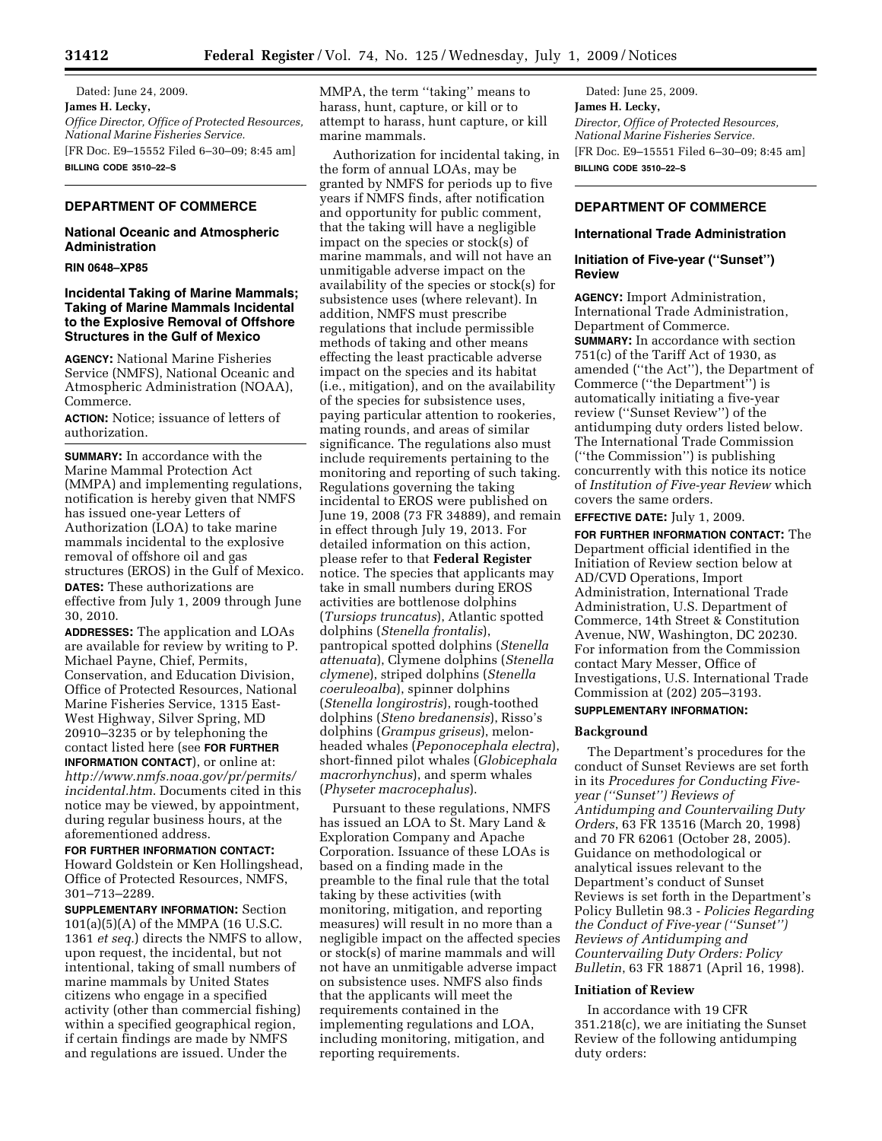Dated: June 24, 2009. **James H. Lecky,**  *Office Director, Office of Protected Resources, National Marine Fisheries Service.*  [FR Doc. E9–15552 Filed 6–30–09; 8:45 am] **BILLING CODE 3510–22–S** 

## **DEPARTMENT OF COMMERCE**

### **National Oceanic and Atmospheric Administration**

**RIN 0648–XP85** 

## **Incidental Taking of Marine Mammals; Taking of Marine Mammals Incidental to the Explosive Removal of Offshore Structures in the Gulf of Mexico**

**AGENCY:** National Marine Fisheries Service (NMFS), National Oceanic and Atmospheric Administration (NOAA), Commerce.

**ACTION:** Notice; issuance of letters of authorization.

**SUMMARY:** In accordance with the Marine Mammal Protection Act (MMPA) and implementing regulations, notification is hereby given that NMFS has issued one-year Letters of Authorization (LOA) to take marine mammals incidental to the explosive removal of offshore oil and gas structures (EROS) in the Gulf of Mexico. **DATES:** These authorizations are effective from July 1, 2009 through June 30, 2010.

**ADDRESSES:** The application and LOAs are available for review by writing to P. Michael Payne, Chief, Permits, Conservation, and Education Division, Office of Protected Resources, National Marine Fisheries Service, 1315 East-West Highway, Silver Spring, MD 20910–3235 or by telephoning the contact listed here (see **FOR FURTHER INFORMATION CONTACT**), or online at: *http://www.nmfs.noaa.gov/pr/permits/ incidental.htm*. Documents cited in this notice may be viewed, by appointment, during regular business hours, at the aforementioned address.

**FOR FURTHER INFORMATION CONTACT:**  Howard Goldstein or Ken Hollingshead, Office of Protected Resources, NMFS, 301–713–2289.

**SUPPLEMENTARY INFORMATION:** Section 101(a)(5)(A) of the MMPA (16 U.S.C. 1361 *et seq.*) directs the NMFS to allow, upon request, the incidental, but not intentional, taking of small numbers of marine mammals by United States citizens who engage in a specified activity (other than commercial fishing) within a specified geographical region, if certain findings are made by NMFS and regulations are issued. Under the

MMPA, the term ''taking'' means to harass, hunt, capture, or kill or to attempt to harass, hunt capture, or kill marine mammals.

Authorization for incidental taking, in the form of annual LOAs, may be granted by NMFS for periods up to five years if NMFS finds, after notification and opportunity for public comment, that the taking will have a negligible impact on the species or stock(s) of marine mammals, and will not have an unmitigable adverse impact on the availability of the species or stock(s) for subsistence uses (where relevant). In addition, NMFS must prescribe regulations that include permissible methods of taking and other means effecting the least practicable adverse impact on the species and its habitat (i.e., mitigation), and on the availability of the species for subsistence uses, paying particular attention to rookeries, mating rounds, and areas of similar significance. The regulations also must include requirements pertaining to the monitoring and reporting of such taking. Regulations governing the taking incidental to EROS were published on June 19, 2008 (73 FR 34889), and remain in effect through July 19, 2013. For detailed information on this action, please refer to that **Federal Register**  notice. The species that applicants may take in small numbers during EROS activities are bottlenose dolphins (*Tursiops truncatus*), Atlantic spotted dolphins (*Stenella frontalis*), pantropical spotted dolphins (*Stenella attenuata*), Clymene dolphins (*Stenella clymene*), striped dolphins (*Stenella coeruleoalba*), spinner dolphins (*Stenella longirostris*), rough-toothed dolphins (*Steno bredanensis*), Risso's dolphins (*Grampus griseus*), melonheaded whales (*Peponocephala electra*), short-finned pilot whales (*Globicephala macrorhynchus*), and sperm whales (*Physeter macrocephalus*).

Pursuant to these regulations, NMFS has issued an LOA to St. Mary Land & Exploration Company and Apache Corporation. Issuance of these LOAs is based on a finding made in the preamble to the final rule that the total taking by these activities (with monitoring, mitigation, and reporting measures) will result in no more than a negligible impact on the affected species or stock(s) of marine mammals and will not have an unmitigable adverse impact on subsistence uses. NMFS also finds that the applicants will meet the requirements contained in the implementing regulations and LOA, including monitoring, mitigation, and reporting requirements.

Dated: June 25, 2009. **James H. Lecky,**  *Director, Office of Protected Resources, National Marine Fisheries Service.*  [FR Doc. E9–15551 Filed 6–30–09; 8:45 am] **BILLING CODE 3510–22–S** 

# **DEPARTMENT OF COMMERCE**

### **International Trade Administration**

## **Initiation of Five-year (''Sunset'') Review**

**AGENCY:** Import Administration, International Trade Administration, Department of Commerce. **SUMMARY:** In accordance with section 751(c) of the Tariff Act of 1930, as amended (''the Act''), the Department of Commerce (''the Department'') is automatically initiating a five-year review (''Sunset Review'') of the antidumping duty orders listed below. The International Trade Commission (''the Commission'') is publishing concurrently with this notice its notice of *Institution of Five-year Review* which covers the same orders.

**EFFECTIVE DATE:** July 1, 2009.

**FOR FURTHER INFORMATION CONTACT:** The Department official identified in the Initiation of Review section below at AD/CVD Operations, Import Administration, International Trade Administration, U.S. Department of Commerce, 14th Street & Constitution Avenue, NW, Washington, DC 20230. For information from the Commission contact Mary Messer, Office of Investigations, U.S. International Trade Commission at (202) 205–3193.

### **SUPPLEMENTARY INFORMATION:**

#### **Background**

The Department's procedures for the conduct of Sunset Reviews are set forth in its *Procedures for Conducting Fiveyear (''Sunset'') Reviews of Antidumping and Countervailing Duty Orders*, 63 FR 13516 (March 20, 1998) and 70 FR 62061 (October 28, 2005). Guidance on methodological or analytical issues relevant to the Department's conduct of Sunset Reviews is set forth in the Department's Policy Bulletin 98.3 - *Policies Regarding the Conduct of Five-year (''Sunset'') Reviews of Antidumping and Countervailing Duty Orders: Policy Bulletin*, 63 FR 18871 (April 16, 1998).

#### **Initiation of Review**

In accordance with 19 CFR 351.218(c), we are initiating the Sunset Review of the following antidumping duty orders: